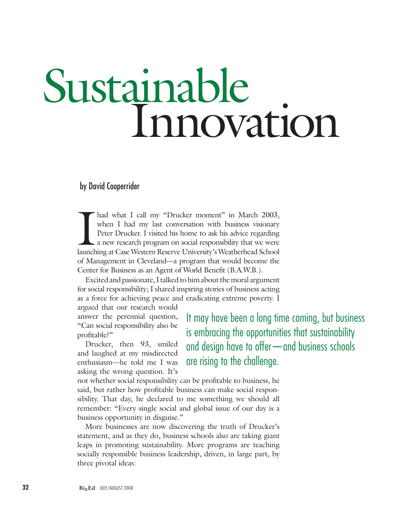# Sustainable Innovation

by David Cooperrider

I had what I call my "Drucker moment" in March 2003, when I had my last conversation with business visionary Peter Drucker. I visited his home to ask his advice regarding a new research program on social responsibility tha had what I call my "Drucker moment" in March 2003, when I had my last conversation with business visionary Peter Drucker. I visited his home to ask his advice regarding a new research program on social responsibility that we were of Management in Cleveland—a program that would become the Center for Business as an Agent of World Benefit (B.A.W.B.).

Excited and passionate, I talked to him about the moral argument for social responsibility; I shared inspiring stories of business acting as a force for achieving peace and eradicating extreme poverty. I

argued that our research would answer the perennial question, "Can social responsibility also be profitable?"

Drucker, then 93, smiled and laughed at my misdirected enthusiasm—he told me I was asking the wrong question. It's It may have been a long time coming, but business is embracing the opportunities that sustainability and design have to offer—and business schools are rising to the challenge.

not whether social responsibility can be profitable to business, he said, but rather how profitable business can make social responsibility. That day, he declared to me something we should all remember: "Every single social and global issue of our day is a business opportunity in disguise."

More businesses are now discovering the truth of Drucker's statement, and as they do, business schools also are taking giant leaps in promoting sustainability. More programs are teaching socially responsible business leadership, driven, in large part, by three pivotal ideas: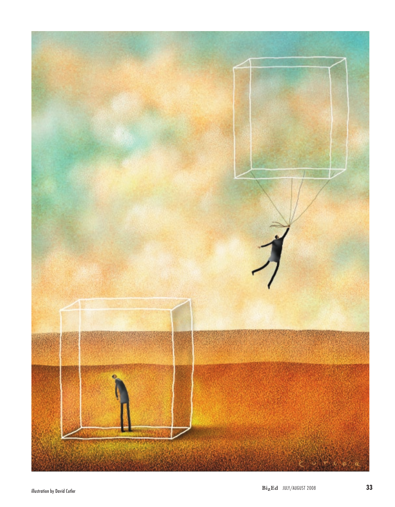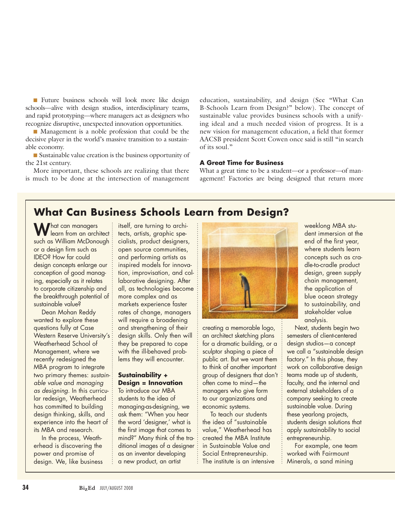n Future business schools will look more like design schools—alive with design studios, interdisciplinary teams, and rapid prototyping—where managers act as designers who recognize disruptive, unexpected innovation opportunities.

■ Management is a noble profession that could be the decisive player in the world's massive transition to a sustainable economy.

n Sustainable value creation is the business opportunity of the 21st century.

More important, these schools are realizing that there is much to be done at the intersection of management education, sustainability, and design (See "What Can B-Schools Learn from Design?" below). The concept of sustainable value provides business schools with a unifying ideal and a much needed vision of progress. It is a new vision for management education, a field that former AACSB president Scott Cowen once said is still "in search of its soul."

#### **A Great Time for Business**

What a great time to be a student—or a professor—of management! Factories are being designed that return more

## **What Can Business Schools Learn from Design?**

What can managers learn from an architect such as William McDonough or a design firm such as IDEO? How far could design concepts enlarge our conception of good managing, especially as it relates to corporate citizenship and the breakthrough potential of sustainable value?

Dean Mohan Reddy wanted to explore these questions fully at Case Western Reserve University's Weatherhead School of Management, where we recently redesigned the MBA program to integrate two primary themes: *sustainable value* and *managing as designing*. In this curricular redesign, Weatherhead has committed to building design thinking, skills, and experience into the heart of its MBA and research.

In the process, Weatherhead is discovering the power and promise of design. We, like business itself, are turning to architects, artists, graphic specialists, product designers, open source communities, and performing artists as inspired models for innovation, improvisation, and collaborative designing. After all, as technologies become more complex and as markets experience faster rates of change, managers will require a broadening and strengthening of their design skills. Only then will they be prepared to cope with the ill-behaved problems they will encounter.

#### **Sustainability + Design = Innovation**

To introduce our MBA students to the idea of managing-as-designing, we ask them: "When you hear the word 'designer,' what is the first image that comes to mind?" Many think of the traditional images of a designer as an inventor developing a new product, an artist



creating a memorable logo, an architect sketching plans for a dramatic building, or a sculptor shaping a piece of public art. But we want them to think of another important group of designers that don't often come to mind—the managers who give form to our organizations and economic systems.

To teach our students the idea of "sustainable value," Weatherhead has created the MBA Institute in Sustainable Value and Social Entrepreneurship. The institute is an intensive weeklong MBA student immersion at the end of the first year, where students learn concepts such as cradle-to-cradle product design, green supply chain management, the application of blue ocean strategy to sustainability, and stakeholder value analysis.

Next, students begin two semesters of client-centered design studios—a concept we call a "sustainable design factory." In this phase, they work on collaborative design teams made up of students, faculty, and the internal and external stakeholders of a company seeking to create sustainable value. During these yearlong projects, students design solutions that apply sustainability to social entrepreneurship.

For example, one team worked with Fairmount Minerals, a sand mining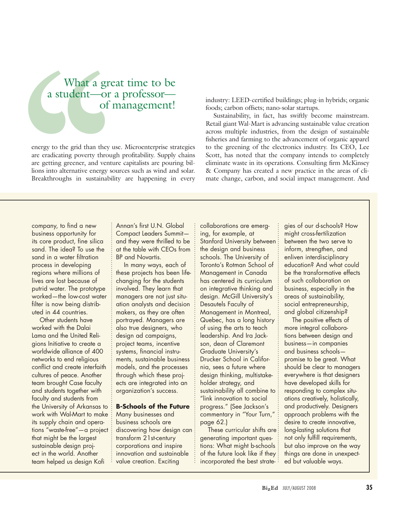# What a great time to be a student—or a professor of management!

energy to the grid than they use. Microenterprise strategies are eradicating poverty through profitability. Supply chains are getting greener, and venture capitalists are pouring billions into alternative energy sources such as wind and solar. Breakthroughs in sustainability are happening in every industry: LEED-certified buildings; plug-in hybrids; organic foods; carbon offsets; nano-solar startups.

Sustainability, in fact, has swiftly become mainstream. Retail giant Wal-Mart is advancing sustainable value creation across multiple industries, from the design of sustainable fisheries and farming to the advancement of organic apparel to the greening of the electronics industry. Its CEO, Lee Scott, has noted that the company intends to completely eliminate waste in its operations. Consulting firm McKinsey & Company has created a new practice in the areas of climate change, carbon, and social impact management. And

company, to find a new business opportunity for its core product, fine silica sand. The idea? To use the sand in a water filtration process in developing regions where millions of lives are lost because of putrid water. The prototype worked—the low-cost water filter is now being distributed in 44 countries.

Other students have worked with the Dalai Lama and the United Religions Initiative to create a worldwide alliance of 400 networks to end religious conflict and create interfaith cultures of peace. Another team brought Case faculty and students together with faculty and students from the University of Arkansas to work with Wal-Mart to make its supply chain and operations "waste-free"—a project that might be the largest sustainable design project in the world. Another team helped us design Kofi

Annan's first U.N. Global Compact Leaders Summit and they were thrilled to be at the table with CEOs from BP and Novartis.

In many ways, each of these projects has been lifechanging for the students involved. They learn that managers are not just situation analysts and decision makers, as they are often portrayed. Managers are also true designers, who design ad campaigns, project teams, incentive systems, financial instruments, sustainable business models, and the processes through which these projects are integrated into an organization's success.

#### **B-Schools of the Future**

Many businesses and business schools are discovering how design can: transform 21st-century corporations and inspire innovation and sustainable value creation. Exciting

collaborations are emerging, for example, at Stanford University between the design and business schools. The University of Toronto's Rotman School of Management in Canada has centered its curriculum on integrative thinking and design. McGill University's Desautels Faculty of Management in Montreal, Quebec, has a long history of using the arts to teach leadership. And Ira Jackson, dean of Claremont Graduate University's Drucker School in California, sees a future where design thinking, multistakeholder strategy, and sustainability all combine to "link innovation to social progress." (See Jackson's commentary in "Your Turn," page 62.)

These curricular shifts are: generating important questions: What might b-schools of the future look like if they incorporated the best strategies of our d-schools? How might cross-fertilization between the two serve to inform, strengthen, and enliven interdisciplinary education? And what could be the transformative effects of such collaboration on business, especially in the areas of sustainability, social entrepreneurship, and global citizenship?

The positive effects of more integral collaborations between design and business—in companies and business schools promise to be great. What should be clear to managers everywhere is that designers have developed skills for responding to complex situations creatively, holistically, and productively. Designers approach problems with the desire to create innovative, long-lasting solutions that not only fulfill requirements, but also improve on the way things are done in unexpected but valuable ways.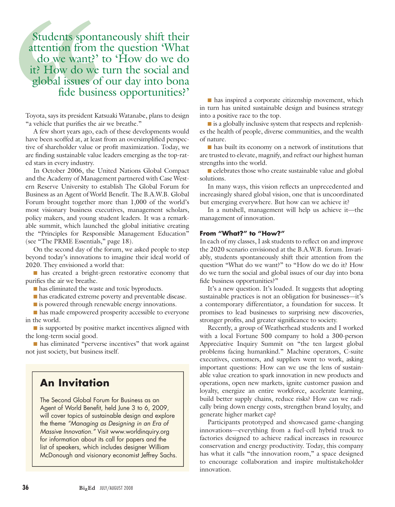Students spontaneously shift their attention from the question 'What do we want?' to 'How do we do it? How do we turn the social and global issues of our day into bona fide business opportunities?'

Toyota, says its president Katsuaki Watanabe, plans to design "a vehicle that purifies the air we breathe."

A few short years ago, each of these developments would have been scoffed at, at least from an oversimplified perspective of shareholder value or profit maximization. Today, we are finding sustainable value leaders emerging as the top-rated stars in every industry.

In October 2006, the United Nations Global Compact and the Academy of Management partnered with Case Western Reserve University to establish The Global Forum for Business as an Agent of World Benefit. The B.A.W.B. Global Forum brought together more than 1,000 of the world's most visionary business executives, management scholars, policy makers, and young student leaders. It was a remarkable summit, which launched the global initiative creating the "Principles for Responsible Management Education" (see "The PRME Essentials," page 18).

On the second day of the forum, we asked people to step beyond today's innovations to imagine their ideal world of 2020. They envisioned a world that:

n has created a bright-green restorative economy that purifies the air we breathe.

 $\blacksquare$  has eliminated the waste and toxic byproducts.

n has eradicated extreme poverty and preventable disease.

is powered through renewable energy innovations.

n has made empowered prosperity accessible to everyone in the world.

 $\blacksquare$  is supported by positive market incentives aligned with the long-term social good.

n has eliminated "perverse incentives" that work against not just society, but business itself.

## **An Invitation**

The Second Global Forum for Business as an Agent of World Benefit, held June 3 to 6, 2009, will cover topics of sustainable design and explore the theme *"Managing as Designing in an Era of Massive Innovation."* Visit www.worldinquiry.org for information about its call for papers and the list of speakers, which includes designer William McDonough and visionary economist Jeffrey Sachs.

 $\blacksquare$  has inspired a corporate citizenship movement, which in turn has united sustainable design and business strategy into a positive race to the top.

 $\blacksquare$  is a globally inclusive system that respects and replenishes the health of people, diverse communities, and the wealth of nature.

 $\blacksquare$  has built its economy on a network of institutions that are trusted to elevate, magnify, and refract our highest human strengths into the world.

 $\blacksquare$  celebrates those who create sustainable value and global solutions.

In many ways, this vision reflects an unprecedented and increasingly shared global vision, one that is uncoordinated but emerging everywhere. But how can we achieve it?

In a nutshell, management will help us achieve it—the management of innovation.

#### **From "What?" to "How?"**

In each of my classes, I ask students to reflect on and improve the 2020 scenario envisioned at the B.A.W.B. forum. Invariably, students spontaneously shift their attention from the question "What do we want?" to "How do we do it? How do we turn the social and global issues of our day into bona fide business opportunities?"

It's a new question. It's loaded. It suggests that adopting sustainable practices is not an obligation for businesses—it's a contemporary differentiator, a foundation for success. It promises to lead businesses to surprising new discoveries, stronger profits, and greater significance to society.

Recently, a group of Weatherhead students and I worked with a local Fortune 500 company to hold a 300-person Appreciative Inquiry Summit on "the ten largest global problems facing humankind." Machine operators, C-suite executives, customers, and suppliers went to work, asking important questions: How can we use the lens of sustainable value creation to spark innovation in new products and operations, open new markets, ignite customer passion and loyalty, energize an entire workforce, accelerate learning, build better supply chains, reduce risks? How can we radically bring down energy costs, strengthen brand loyalty, and generate higher market cap?

Participants prototyped and showcased game-changing innovations—everything from a fuel-cell hybrid truck to factories designed to achieve radical increases in resource conservation and energy productivity. Today, this company has what it calls "the innovation room," a space designed to encourage collaboration and inspire multistakeholder innovation.